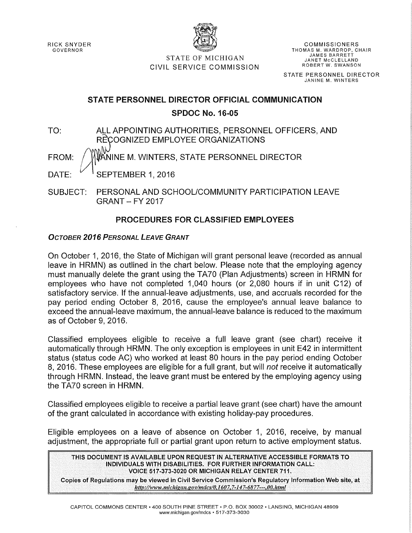RICK SNYDER GOVERNOR



COMMISSIONERS THOMAS M. WARDROP, CHAIR JAMES BARRETT JANET McCLELLAND ROBERT W. SWANSON

STATE OF MICHIGAN CIVIL SERVICE COMMISSION

STATE PERSONNEL DIRECTOR JANINE M. WINTERS

# STATE PERSONNEL DIRECTOR OFFICIAL COMMUNICATION SPDOC No. 16-05

TO: ALL APPOINTING AUTHORITIES, PERSONNEL OFFICERS, AND RECOGNIZED EMPLOYEE ORGANIZATIONS FROM: / WWW.NINE M. WINTERS, STATE PERSONNEL DIRECTOR DATE:  $V \times$  SEPTEMBER 1, 2016

SUBJECT: PERSONAL AND SCHOOL/COMMUNITY PARTICIPATION LEAVE GRANT- FY 2017

# PROCEDURES FOR CLASSIFIED EMPLOYEES

## *OCTOBER 2016 PERSONAL LEAVE GRANT*

On October 1, 2016, the State of Michigan will grant personal leave (recorded as annual leave in HRMN) as outlined in the chart below. Please note that the employing agency must manually delete the grant using the TA70 (Plan Adjustments) screen in HRMN for employees who have not completed 1,040 hours (or 2,080 hours if in unit C12) of satisfactory service. If the annual-leave adjustments, use, and accruals recorded for the pay period ending October 8, 2016, cause the employee's annual leave balance to exceed the annual-leave maximum, the annual-leave balance is reduced to the maximum as of October 9, 2016.

Classified employees eligible to receive a full leave grant (see chart) receive it automatically through HRMN. The only exception is employees in unit E42 in intermittent status (status code AC) who worked at least 80 hours in the pay period ending October 8, 2016. These employees are eligible for a full grant, but will *not* receive it automatically through HRMN. Instead, the leave grant must be entered by the employing agency using the TA70 screen in HRMN.

Classified employees eligible to receive a partial leave grant (see chart) have the amount of the grant calculated in accordance with existing holiday-pay procedures.

Eligible employees on a leave of absence on October 1, 2016, receive, by manual adjustment, the appropriate full or partial grant upon return to active employment status.

THIS DOCUMENT IS AVAILABLE UPON REQUEST IN ALTERNATIVE ACCESSIBLE FORMATS TO INDIVIDUALS WITH DISABILITIES. FOR FURTHER INFORMATION CALL: VOICE 517-373-3020 OR MICHIGAN RELAY CENTER 711.

Copies of Regulations may be viewed in Civil Service Commission's Regulatory Information Web site, at */Jttp:llwww.michiga11.gov/mdcs/O, 1607, 7-147-6877---. 00. html*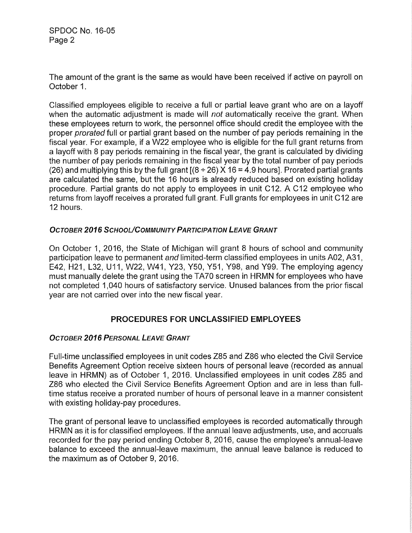SPDOC No. 16-05 Page 2

The amount of the grant is the same as would have been received if active on payroll on October 1.

Classified employees eligible to receive a full or partial leave grant who are on a layoff when the automatic adjustment is made will not automatically receive the grant. When these employees return to work, the personnel office should credit the employee with the proper prorated full or partial grant based on the number of pay periods remaining in the fiscal year. For example, if a W22 employee who is eligible for the full grant returns from a layoff with 8 pay periods remaining in the fiscal year, the grant is calculated by dividing the number of pay periods remaining in the fiscal year by the total number of pay periods (26) and multiplying this by the full grant  $[(8 \div 26) \times 16 = 4.9$  hours]. Prorated partial grants are calculated the same, but the 16 hours is already reduced based on existing holiday procedure. Partial grants do not apply to employees in unit C12. A C12 employee who returns from layoff receives a prorated full grant. Full grants for employees in unit C12 are 12 hours.

## **OCTOBER 2016 SCHOOL/COMMUNITY PARTICIPATION LEAVE GRANT**

On October 1, 2016, the State of Michigan will grant 8 hours of school and community participation leave to permanent and limited-term classified employees in units A02, A31, E42, H21, L32, U11, W22, W41, Y23, Y50, Y51, Y98, and Y99. The employing agency must manually delete the grant using the TA70 screen in HRMN for employees who have not completed 1,040 hours of satisfactory service. Unused balances from the prior fiscal year are not carried over into the new fiscal year.

## PROCEDURES FOR UNCLASSIFIED EMPLOYEES

### OCTOBER *2016* PERSONAL LEAVE GRANT

Full-time unclassified employees in unit codes Z85 and Z86 who elected the Civil Service Benefits Agreement Option receive sixteen hours of personal leave (recorded as annual leave in HRMN) as of October 1, 2016. Unclassified employees in unit codes Z85 and Z86 who elected the Civil Service Benefits Agreement Option and are in less than fulltime status receive a prorated number of hours of personal leave in a manner consistent with existing holiday-pay procedures.

The grant of personal leave to unclassified employees is recorded automatically through HRMN as it is for classified employees. If the annual leave adjustments, use, and accruals recorded for the pay period ending October 8, 2016, cause the employee's annual-leave balance to exceed the annual-leave maximum, the annual leave balance is reduced to the maximum as of October 9, 2016.